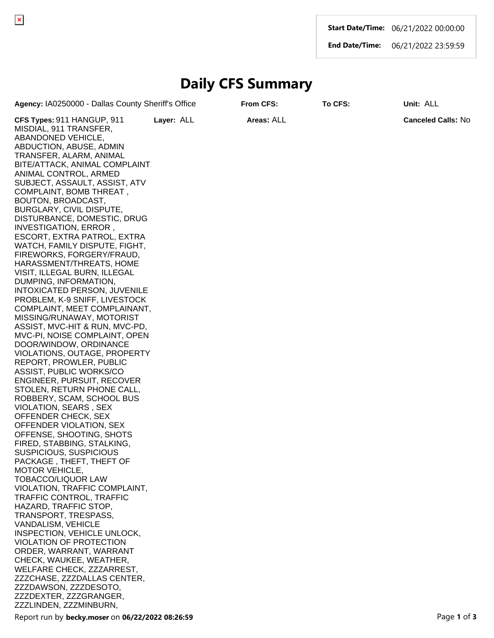**Start Date/Time:** 06/21/2022 00:00:00

**End Date/Time:** 06/21/2022 23:59:59

## **Daily CFS Summary**

**Agency:** IA0250000 - Dallas County Sheriff's Office **From CFS: To CFS: Unit:** ALL

**CFS Types:** 911 HANGUP, 911 MISDIAL, 911 TRANSFER, ABANDONED VEHICLE, ABDUCTION, ABUSE, ADMIN TRANSFER, ALARM, ANIMAL BITE/ATTACK, ANIMAL COMPLAINT, ANIMAL CONTROL, ARMED SUBJECT, ASSAULT, ASSIST, ATV COMPLAINT, BOMB THREAT , BOUTON, BROADCAST, BURGLARY, CIVIL DISPUTE, DISTURBANCE, DOMESTIC, DRUG INVESTIGATION, ERROR , ESCORT, EXTRA PATROL, EXTRA WATCH, FAMILY DISPUTE, FIGHT, FIREWORKS, FORGERY/FRAUD, HARASSMENT/THREATS, HOME VISIT, ILLEGAL BURN, ILLEGAL DUMPING, INFORMATION, INTOXICATED PERSON, JUVENILE PROBLEM, K-9 SNIFF, LIVESTOCK COMPLAINT, MEET COMPLAINANT, MISSING/RUNAWAY, MOTORIST ASSIST, MVC-HIT & RUN, MVC-PD, MVC-PI, NOISE COMPLAINT, OPEN DOOR/WINDOW, ORDINANCE VIOLATIONS, OUTAGE, PROPERTY REPORT, PROWLER, PUBLIC ASSIST, PUBLIC WORKS/CO ENGINEER, PURSUIT, RECOVER STOLEN, RETURN PHONE CALL, ROBBERY, SCAM, SCHOOL BUS VIOLATION, SEARS , SEX OFFENDER CHECK, SEX OFFENDER VIOLATION, SEX OFFENSE, SHOOTING, SHOTS FIRED, STABBING, STALKING, SUSPICIOUS, SUSPICIOUS PACKAGE , THEFT, THEFT OF MOTOR VEHICLE, TOBACCO/LIQUOR LAW VIOLATION, TRAFFIC COMPLAINT, TRAFFIC CONTROL, TRAFFIC HAZARD, TRAFFIC STOP, TRANSPORT, TRESPASS, VANDALISM, VEHICLE INSPECTION, VEHICLE UNLOCK, VIOLATION OF PROTECTION ORDER, WARRANT, WARRANT CHECK, WAUKEE, WEATHER, WELFARE CHECK, ZZZARREST, ZZZCHASE, ZZZDALLAS CENTER, ZZZDAWSON, ZZZDESOTO, ZZZDEXTER, ZZZGRANGER, ZZZLINDEN, ZZZMINBURN, **Layer:** ALL **Areas:** ALL **Canceled Calls:** No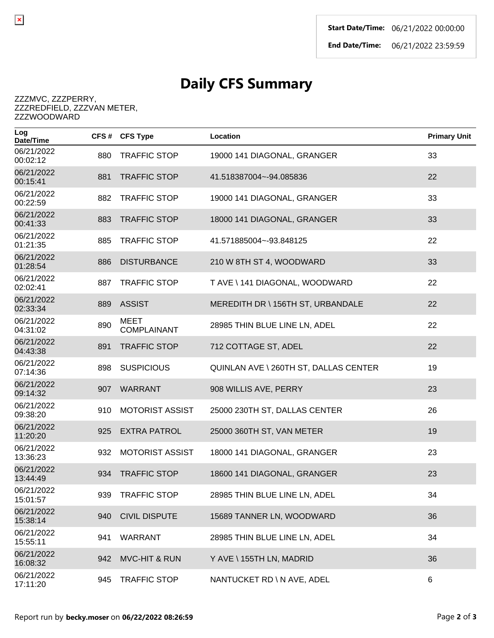## **Daily CFS Summary**

## ZZZMVC, ZZZPERRY, ZZZREDFIELD, ZZZVAN METER, ZZZWOODWARD

 $\pmb{\times}$ 

| Log<br>Date/Time       |     | CFS# CFS Type                     | Location                              | <b>Primary Unit</b> |
|------------------------|-----|-----------------------------------|---------------------------------------|---------------------|
| 06/21/2022<br>00:02:12 | 880 | <b>TRAFFIC STOP</b>               | 19000 141 DIAGONAL, GRANGER           | 33                  |
| 06/21/2022<br>00:15:41 | 881 | <b>TRAFFIC STOP</b>               | 41.518387004~-94.085836               | 22                  |
| 06/21/2022<br>00:22:59 | 882 | <b>TRAFFIC STOP</b>               | 19000 141 DIAGONAL, GRANGER           | 33                  |
| 06/21/2022<br>00:41:33 | 883 | <b>TRAFFIC STOP</b>               | 18000 141 DIAGONAL, GRANGER           | 33                  |
| 06/21/2022<br>01:21:35 | 885 | <b>TRAFFIC STOP</b>               | 41.571885004~-93.848125               | 22                  |
| 06/21/2022<br>01:28:54 | 886 | <b>DISTURBANCE</b>                | 210 W 8TH ST 4, WOODWARD              | 33                  |
| 06/21/2022<br>02:02:41 | 887 | <b>TRAFFIC STOP</b>               | T AVE \ 141 DIAGONAL, WOODWARD        | 22                  |
| 06/21/2022<br>02:33:34 | 889 | <b>ASSIST</b>                     | MEREDITH DR \ 156TH ST, URBANDALE     | 22                  |
| 06/21/2022<br>04:31:02 | 890 | <b>MEET</b><br><b>COMPLAINANT</b> | 28985 THIN BLUE LINE LN, ADEL         | 22                  |
| 06/21/2022<br>04:43:38 | 891 | <b>TRAFFIC STOP</b>               | 712 COTTAGE ST, ADEL                  | 22                  |
| 06/21/2022<br>07:14:36 | 898 | <b>SUSPICIOUS</b>                 | QUINLAN AVE \ 260TH ST, DALLAS CENTER | 19                  |
| 06/21/2022<br>09:14:32 | 907 | <b>WARRANT</b>                    | 908 WILLIS AVE, PERRY                 | 23                  |
| 06/21/2022<br>09:38:20 | 910 | <b>MOTORIST ASSIST</b>            | 25000 230TH ST, DALLAS CENTER         | 26                  |
| 06/21/2022<br>11:20:20 | 925 | <b>EXTRA PATROL</b>               | 25000 360TH ST, VAN METER             | 19                  |
| 06/21/2022<br>13:36:23 | 932 | <b>MOTORIST ASSIST</b>            | 18000 141 DIAGONAL, GRANGER           | 23                  |
| 06/21/2022<br>13:44:49 | 934 | <b>TRAFFIC STOP</b>               | 18600 141 DIAGONAL, GRANGER           | 23                  |
| 06/21/2022<br>15:01:57 | 939 | <b>TRAFFIC STOP</b>               | 28985 THIN BLUE LINE LN, ADEL         | 34                  |
| 06/21/2022<br>15:38:14 | 940 | <b>CIVIL DISPUTE</b>              | 15689 TANNER LN, WOODWARD             | 36                  |
| 06/21/2022<br>15:55:11 | 941 | <b>WARRANT</b>                    | 28985 THIN BLUE LINE LN, ADEL         | 34                  |
| 06/21/2022<br>16:08:32 | 942 | <b>MVC-HIT &amp; RUN</b>          | Y AVE \155TH LN, MADRID               | 36                  |
| 06/21/2022<br>17:11:20 | 945 | <b>TRAFFIC STOP</b>               | NANTUCKET RD \ N AVE, ADEL            | 6                   |